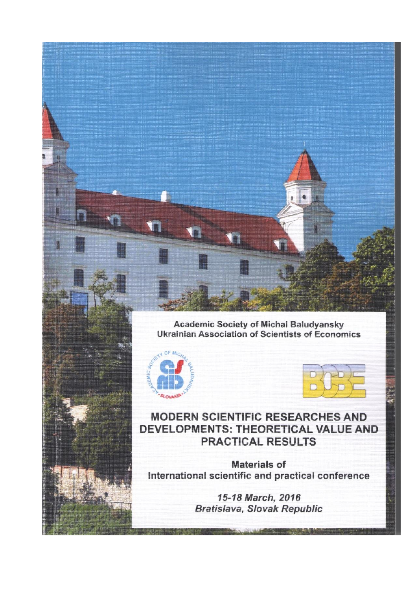Academic Society of Michal Baludyansky<br>Ukrainian Association of Scientists of Economics





**MODERN SCIENTIFIC RESEARCHES AND** DEVELOPMENTS: THEORETICAL VALUE AND **PRACTICAL RESULTS** 

**Materials of** International scientific and practical conference

> 15-18 March, 2016 **Bratislava, Slovak Republic**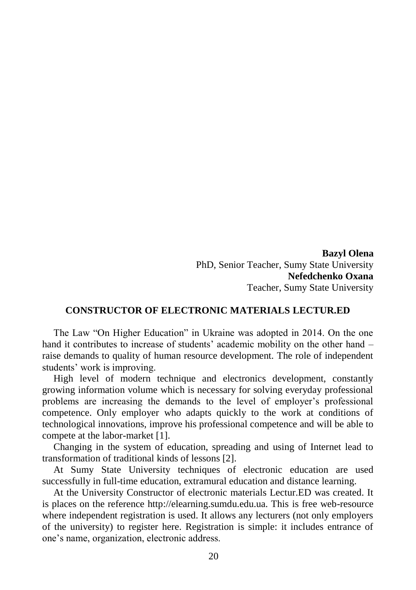**Bazyl Olena** PhD, Senior Teacher, Sumy State University **Nefedchenko Oxana** Teacher, Sumy State University

## **CONSTRUCTOR OF ELECTRONIC MATERIALS LECTUR.ED**

The Law "On Higher Education" in Ukraine was adopted in 2014. On the one hand it contributes to increase of students' academic mobility on the other hand – raise demands to quality of human resource development. The role of independent students' work is improving.

High level of modern technique and electronics development, constantly growing information volume which is necessary for solving everyday professional problems are increasing the demands to the level of employer's professional competence. Only employer who adapts quickly to the work at conditions of technological innovations, improve his professional competence and will be able to compete at the labor-market [1].

Changing in the system of education, spreading and using of Internet lead to transformation of traditional kinds of lessons [2].

At Sumy State University techniques of electronic education are used successfully in full-time education, extramural education and distance learning.

At the University Constructor of electronic materials Lectur.ED was created. It is places on the reference http://elearning.sumdu.edu.ua. This is free web-resource where independent registration is used. It allows any lecturers (not only employers of the university) to register here. Registration is simple: it includes entrance of one's name, organization, electronic address.